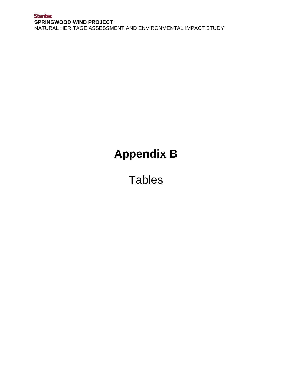## **Stantec SPRINGWOOD WIND PROJECT**  NATURAL HERITAGE ASSESSMENT AND ENVIRONMENTAL IMPACT STUDY

## **Appendix B**

**Tables**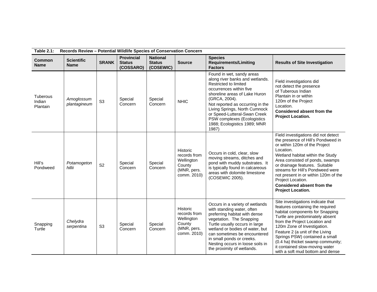| <b>Table 2.1:</b>              | Records Review - Potential Wildlife Species of Conservation Concern |                |                                                 |                                               |                                                                                       |                                                                                                                                                                                                                                                                                                                                                        |                                                                                                                                                                                                                                                                                                                                                                                             |  |  |
|--------------------------------|---------------------------------------------------------------------|----------------|-------------------------------------------------|-----------------------------------------------|---------------------------------------------------------------------------------------|--------------------------------------------------------------------------------------------------------------------------------------------------------------------------------------------------------------------------------------------------------------------------------------------------------------------------------------------------------|---------------------------------------------------------------------------------------------------------------------------------------------------------------------------------------------------------------------------------------------------------------------------------------------------------------------------------------------------------------------------------------------|--|--|
| <b>Common</b><br><b>Name</b>   | <b>Scientific</b><br><b>Name</b>                                    | <b>SRANK</b>   | <b>Provincial</b><br><b>Status</b><br>(COSSARO) | <b>National</b><br><b>Status</b><br>(COSEWIC) | <b>Source</b>                                                                         | <b>Species</b><br><b>Requirements/Limiting</b><br><b>Factors</b>                                                                                                                                                                                                                                                                                       | <b>Results of Site Investigation</b>                                                                                                                                                                                                                                                                                                                                                        |  |  |
| Tuberous<br>Indian<br>Plantain | Arnoglossum<br>plantagineum                                         | S <sub>3</sub> | Special<br>Concern                              | Special<br>Concern                            | <b>NHIC</b>                                                                           | Found in wet, sandy areas<br>along river banks and wetlands.<br><b>Restricted to limited</b><br>occurrences within five<br>shoreline areas of Lake Huron<br>(GRCA, 2004).<br>Not reported as occurring in the<br>Living Springs, North Cumnock<br>or Speed-Lutteral-Swan Creek<br>PSW complexes (Ecologistics<br>1988; Ecologistics 1989; MNR<br>1987) | Field investigations did<br>not detect the presence<br>of Tuberous Indian<br>Plantain in or within<br>120m of the Project<br>Location.<br><b>Considered absent from the</b><br>Project Location.                                                                                                                                                                                            |  |  |
| Hill's<br>Pondweed             | Potamogeton<br>hillii                                               | S <sub>2</sub> | Special<br>Concern                              | Special<br>Concern                            | <b>Historic</b><br>records from<br>Wellington<br>County<br>(MNR, pers.<br>comm. 2010) | Occurs in cold, clear, slow<br>moving streams, ditches and<br>pond with muddy substrates. It<br>is typically found in calcareous<br>areas with dolomite limestone<br>(COSEWIC 2005).                                                                                                                                                                   | Field investigations did not detect<br>the presence of Hill's Pondweed in<br>or within 120m of the Project<br>Location.<br>Wetland habitat within the Study<br>Area consisted of ponds, swamps<br>or drainage features. Suitable<br>streams for Hill's Pondweed were<br>not present in or within 120m of the<br>Project Location.<br>Considered absent from the<br><b>Project Location.</b> |  |  |
| Snapping<br>Turtle             | Chelydra<br>serpentina                                              | S <sub>3</sub> | Special<br>Concern                              | Special<br>Concern                            | Historic<br>records from<br>Wellington<br>County<br>(MNR, pers.<br>comm. 2010)        | Occurs in a variety of wetlands<br>with standing water, often<br>preferring habitat with dense<br>vegetation. The Snapping<br>Turtle usually occurs in large<br>wetland or bodies of water, but<br>can sometimes be encountered<br>in small ponds or creeks.<br>Nesting occurs in loose soils in<br>the proximity of wetlands.                         | Site investigations indicate that<br>features containing the required<br>habitat components for Snapping<br>Turtle are predominately absent<br>from the Project Location and<br>120m Zone of Investigation.<br>Feature 2 (a unit of the Living<br>Springs PSW) contained a small<br>(0.4 ha) thicket swamp community;<br>it contained slow-moving water<br>with a soft mud bottom and dense |  |  |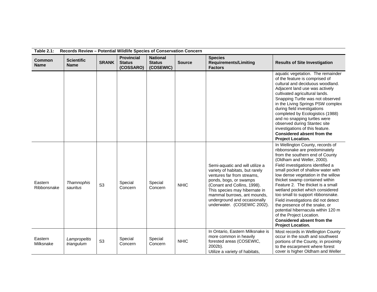| Records Review - Potential Wildlife Species of Conservation Concern<br><b>Table 2.1:</b> |                                  |                |                                                 |                                               |               |                                                                                                                                                                                                                                                                                          |                                                                                                                                                                                                                                                                                                                                                                                                                                                                                                                                                                                                        |  |
|------------------------------------------------------------------------------------------|----------------------------------|----------------|-------------------------------------------------|-----------------------------------------------|---------------|------------------------------------------------------------------------------------------------------------------------------------------------------------------------------------------------------------------------------------------------------------------------------------------|--------------------------------------------------------------------------------------------------------------------------------------------------------------------------------------------------------------------------------------------------------------------------------------------------------------------------------------------------------------------------------------------------------------------------------------------------------------------------------------------------------------------------------------------------------------------------------------------------------|--|
| <b>Common</b><br><b>Name</b>                                                             | <b>Scientific</b><br><b>Name</b> | <b>SRANK</b>   | <b>Provincial</b><br><b>Status</b><br>(COSSARO) | <b>National</b><br><b>Status</b><br>(COSEWIC) | <b>Source</b> | <b>Species</b><br><b>Requirements/Limiting</b><br><b>Factors</b>                                                                                                                                                                                                                         | <b>Results of Site Investigation</b>                                                                                                                                                                                                                                                                                                                                                                                                                                                                                                                                                                   |  |
|                                                                                          |                                  |                |                                                 |                                               |               |                                                                                                                                                                                                                                                                                          | aquatic vegetation. The remainder<br>of the feature is comprised of<br>cultural and deciduous woodland.<br>Adjacent land use was actively<br>cultivated agricultural lands.<br>Snapping Turtle was not observed<br>in the Living Springs PSW complex<br>during field investigations<br>completed by Ecologistics (1988)<br>and no snapping turtles were<br>observed during Stantec site<br>investigations of this feature.<br><b>Considered absent from the</b><br><b>Project Location.</b>                                                                                                            |  |
| Eastern<br>Ribbonsnake                                                                   | Thamnophis<br>sauritus           | S <sub>3</sub> | Special<br>Concern                              | Special<br>Concern                            | <b>NHIC</b>   | Semi-aquatic and will utilize a<br>variety of habitats, but rarely<br>ventures far from streams,<br>ponds, bogs, or swamps<br>(Conant and Collins, 1998).<br>This species may hibernate in<br>mammal burrows, ant mounds,<br>underground and occasionally<br>underwater. (COSEWIC 2002). | In Wellington County, records of<br>ribbonsnake are predominately<br>from the southern end of County<br>(Oldham and Weller, 2000).<br>Field investigations identified a<br>small pocket of shallow water with<br>low dense vegetation in the willow<br>thicket swamp contained within<br>Feature 2. The thicket is a small<br>wetland pocket which considered<br>too small to support ribbonsnake.<br>Field investigations did not detect<br>the presence of the snake, or<br>potential hibernacula within 120 m<br>of the Project Location.<br>Considered absent from the<br><b>Project Location.</b> |  |
| Eastern<br>Milksnake                                                                     | Lampropeltis<br>triangulum       | S <sub>3</sub> | Special<br>Concern                              | Special<br>Concern                            | <b>NHIC</b>   | In Ontario, Eastern Milksnake is<br>more common in heavily<br>forested areas (COSEWIC,<br>2002b).<br>Utilize a variety of habitats,                                                                                                                                                      | Most records in Wellington County<br>occur in the south and southwest<br>portions of the County, in proximity<br>to the escarpment where forest<br>cover is higher Oldham and Weller                                                                                                                                                                                                                                                                                                                                                                                                                   |  |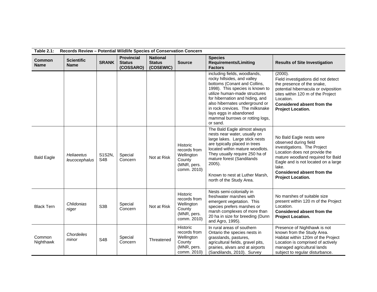| <b>Table 2.1:</b>            | Records Review - Potential Wildlife Species of Conservation Concern |                            |                                                 |                                               |                                                                                |                                                                                                                                                                                                                                                                                                                                                  |                                                                                                                                                                                                                                                           |  |  |
|------------------------------|---------------------------------------------------------------------|----------------------------|-------------------------------------------------|-----------------------------------------------|--------------------------------------------------------------------------------|--------------------------------------------------------------------------------------------------------------------------------------------------------------------------------------------------------------------------------------------------------------------------------------------------------------------------------------------------|-----------------------------------------------------------------------------------------------------------------------------------------------------------------------------------------------------------------------------------------------------------|--|--|
| <b>Common</b><br><b>Name</b> | <b>Scientific</b><br><b>Name</b>                                    | <b>SRANK</b>               | <b>Provincial</b><br><b>Status</b><br>(COSSARO) | <b>National</b><br><b>Status</b><br>(COSEWIC) | <b>Source</b>                                                                  | <b>Species</b><br><b>Requirements/Limiting</b><br><b>Factors</b>                                                                                                                                                                                                                                                                                 | <b>Results of Site Investigation</b>                                                                                                                                                                                                                      |  |  |
|                              |                                                                     |                            |                                                 |                                               |                                                                                | including fields, woodlands,<br>rocky hillsides, and valley<br>bottoms (Conant and Collins,<br>1998). This species is known to<br>utilize human-made structures<br>for hibernation and hiding, and<br>also hibernates underground or<br>in rock crevices. The milksnake<br>lays eggs in abandoned<br>mammal burrows or rotting logs,<br>or sand. | (2000).<br>Field investigations did not detect<br>the presence of the snake,<br>potential hibernacula or oviposition<br>sites within 120 m of the Project<br>Location.<br>Considered absent from the<br><b>Project Location.</b>                          |  |  |
| <b>Bald Eagle</b>            | <b>Heliaeetus</b><br>leucocephalus                                  | S1S2N,<br>S <sub>4</sub> B | Special<br>Concern                              | Not at Risk                                   | Historic<br>records from<br>Wellington<br>County<br>(MNR, pers.<br>comm. 2010) | The Bald Eagle almost always<br>nests near water, usually on<br>large lakes. Large stick nests<br>are typically placed in trees<br>located within mature woodlots.<br>They usually require 250 ha of<br>mature forest (Sandilands<br>$2005$ ).<br>Known to nest at Luther Marsh.<br>north of the Study Area.                                     | No Bald Eagle nests were<br>observed during field<br>investigations. The Project<br>Location does not provide the<br>mature woodland required for Bald<br>Eagle and is not located on a large<br>lake.<br>Considered absent from the<br>Project Location. |  |  |
| <b>Black Tern</b>            | Chlidonias<br>niger                                                 | S <sub>3</sub> B           | Special<br>Concern                              | Not at Risk                                   | Historic<br>records from<br>Wellington<br>County<br>(MNR, pers.<br>comm. 2010) | Nests semi-colonially in<br>freshwater marshes with<br>emergent vegetation. This<br>species prefers marshes or<br>marsh complexes of more than<br>20 ha in size for breeding (Dunn<br>and Agro, 1995).                                                                                                                                           | No marshes of suitable size<br>present within 120 m of the Project<br>Location.<br>Considered absent from the<br><b>Project Location.</b>                                                                                                                 |  |  |
| Common<br>Nighthawk          | Chordeiles<br>minor                                                 | S <sub>4</sub> B           | Special<br>Concern                              | Threatened                                    | Historic<br>records from<br>Wellington<br>County<br>(MNR, pers.<br>comm. 2010) | In rural areas of southern<br>Ontario the species nests in<br>grasslands, pastures,<br>agricultural fields, gravel pits,<br>prairies, alvars and at airports<br>(Sandilands, 2010). Survey                                                                                                                                                       | Presence of Nighthawk is not<br>known from the Study Area.<br>Habitat within 120m of the Project<br>Location is comprised of actively<br>managed agricultural lands<br>subject to regular disturbance.                                                    |  |  |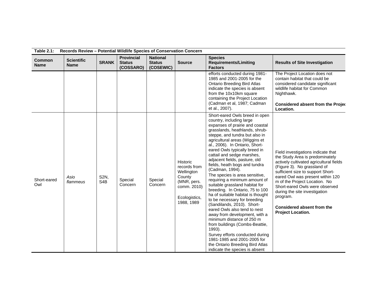| <b>Table 2.1:</b>            | Records Review - Potential Wildlife Species of Conservation Concern |                          |                                                 |                                               |                                                                                                               |                                                                                                                                                                                                                                                                                                                                                                                                                                                                                                                                                                                                                                                                                                                                                                                                                                                                                                                       |                                                                                                                                                                                                                                                                                                                                                                                                    |  |  |
|------------------------------|---------------------------------------------------------------------|--------------------------|-------------------------------------------------|-----------------------------------------------|---------------------------------------------------------------------------------------------------------------|-----------------------------------------------------------------------------------------------------------------------------------------------------------------------------------------------------------------------------------------------------------------------------------------------------------------------------------------------------------------------------------------------------------------------------------------------------------------------------------------------------------------------------------------------------------------------------------------------------------------------------------------------------------------------------------------------------------------------------------------------------------------------------------------------------------------------------------------------------------------------------------------------------------------------|----------------------------------------------------------------------------------------------------------------------------------------------------------------------------------------------------------------------------------------------------------------------------------------------------------------------------------------------------------------------------------------------------|--|--|
| <b>Common</b><br><b>Name</b> | <b>Scientific</b><br><b>Name</b>                                    | <b>SRANK</b>             | <b>Provincial</b><br><b>Status</b><br>(COSSARO) | <b>National</b><br><b>Status</b><br>(COSEWIC) | <b>Source</b>                                                                                                 | <b>Species</b><br><b>Requirements/Limiting</b><br><b>Factors</b>                                                                                                                                                                                                                                                                                                                                                                                                                                                                                                                                                                                                                                                                                                                                                                                                                                                      | <b>Results of Site Investigation</b>                                                                                                                                                                                                                                                                                                                                                               |  |  |
|                              |                                                                     |                          |                                                 |                                               |                                                                                                               | efforts conducted during 1981-<br>1985 and 2001-2005 for the<br><b>Ontario Breeding Bird Atlas</b><br>indicate the species is absent<br>from the 10x10km square<br>containing the Project Location<br>(Cadman et al, 1987; Cadman<br>et al., 2007).                                                                                                                                                                                                                                                                                                                                                                                                                                                                                                                                                                                                                                                                   | The Project Location does not<br>contain habitat that could be<br>considered candidate significant<br>wildlife habitat for Common<br>Nighthawk.<br><b>Considered absent from the Projec</b><br>Location.                                                                                                                                                                                           |  |  |
| Short-eared<br>Owl           | Asio<br>flammeus                                                    | S2N,<br>S <sub>4</sub> B | Special<br>Concern                              | Special<br>Concern                            | Historic<br>records from<br>Wellington<br>County<br>(MNR, pers.<br>comm. 2010)<br>Ecologistics,<br>1988, 1989 | Short-eared Owls breed in open<br>country, including large<br>expanses of prairie and coastal<br>grasslands, heathlands, shrub-<br>steppe, and tundra but also in<br>agricultural areas (Wiggins et<br>al., 2006). In Ontario, Short-<br>eared Owls typically breed in<br>cattail and sedge marshes,<br>adjacent fields, pasture, old<br>fields, heath bogs and tundra<br>(Cadman, 1994).<br>The species is area sensitive,<br>requiring a minimum amount of<br>suitable grassland habitat for<br>breeding. In Ontario, 75 to 100<br>ha of suitable habitat is thought<br>to be necessary for breeding<br>(Sandilands, 2010). Short-<br>eared Owls also tend to nest<br>away from development, with a<br>minimum distance of 250 m<br>from buildings (Combs-Beattie,<br>1993).<br>Survey efforts conducted during<br>1981-1985 and 2001-2005 for<br>the Ontario Breeding Bird Atlas<br>indicate the species is absent | Field investigations indicate that<br>the Study Area is predominately<br>actively cultivated agricultural fields<br>(Figure 3). No grassland of<br>sufficient size to support Short-<br>eared Owl was present within 120<br>m of the Project Location. No<br>Short-eared Owls were observed<br>during the site investigation<br>program.<br><b>Considered absent from the</b><br>Project Location. |  |  |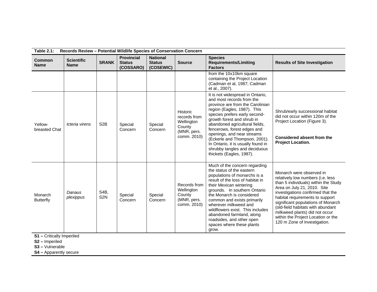| <b>Table 2.1:</b><br>Records Review - Potential Wildlife Species of Conservation Concern |                                  |                         |                                                 |                                               |                                                                                       |                                                                                                                                                                                                                                                                                                                                                                                                                                    |                                                                                                                                                                                                                                                                                                                                                                                                 |  |
|------------------------------------------------------------------------------------------|----------------------------------|-------------------------|-------------------------------------------------|-----------------------------------------------|---------------------------------------------------------------------------------------|------------------------------------------------------------------------------------------------------------------------------------------------------------------------------------------------------------------------------------------------------------------------------------------------------------------------------------------------------------------------------------------------------------------------------------|-------------------------------------------------------------------------------------------------------------------------------------------------------------------------------------------------------------------------------------------------------------------------------------------------------------------------------------------------------------------------------------------------|--|
| <b>Common</b><br><b>Name</b>                                                             | <b>Scientific</b><br><b>Name</b> | <b>SRANK</b>            | <b>Provincial</b><br><b>Status</b><br>(COSSARO) | <b>National</b><br><b>Status</b><br>(COSEWIC) | <b>Source</b>                                                                         | <b>Species</b><br><b>Requirements/Limiting</b><br><b>Factors</b>                                                                                                                                                                                                                                                                                                                                                                   | <b>Results of Site Investigation</b>                                                                                                                                                                                                                                                                                                                                                            |  |
|                                                                                          |                                  |                         |                                                 |                                               |                                                                                       | from the 10x10km square<br>containing the Project Location<br>(Cadman et al, 1987; Cadman<br>et al., 2007).                                                                                                                                                                                                                                                                                                                        |                                                                                                                                                                                                                                                                                                                                                                                                 |  |
| Yellow-<br>breasted Chat                                                                 | Icteria virens                   | S <sub>2</sub> B        | Special<br>Concern                              | Special<br>Concern                            | <b>Historic</b><br>records from<br>Wellington<br>County<br>(MNR, pers.<br>comm. 2010) | It is not widespread in Ontario,<br>and most records from the<br>province are from the Carolinian<br>region (Eagles, 1987). This<br>species prefers early second-<br>growth forest and shrub in<br>abandoned agricultural fields,<br>fencerows, forest edges and<br>openings, and near streams<br>(Eckerle and Thompson, 2001).<br>In Ontario, it is usually found in<br>shrubby tangles and deciduous<br>thickets (Eagles, 1987). | Shrub/early successional habitat<br>did not occur within 120m of the<br>Project Location (Figure 3).<br>Considered absent from the<br><b>Project Location.</b>                                                                                                                                                                                                                                  |  |
| Monarch<br><b>Butterfly</b>                                                              | Danaus<br>plexippus              | S4B,<br>S <sub>2N</sub> | Special<br>Concern                              | Special<br>Concern                            | Records from<br>Wellington<br>County<br>(MNR, pers.<br>comm. 2010)                    | Much of the concern regarding<br>the status of the eastern<br>populations of monarchs is a<br>result of the loss of habitat in<br>their Mexican wintering<br>grounds. In southern Ontario<br>the Monarch is considered<br>common and exists primarily<br>wherever milkweed and<br>wildflowers exist. This includes<br>abandoned farmland, along<br>roadsides, and other open<br>spaces where these plants<br>grow.                 | Monarch were observed in<br>relatively low numbers (i.e. less<br>than 5 individuals) within the Study<br>Area on July 21, 2010. Site<br>investigations confirmed that the<br>habitat requirements to support<br>significant populations of Monarch<br>(old-field habitats with abundant<br>milkweed plants) did not occur<br>within the Project Location or the<br>120 m Zone of Investigation. |  |

**S1 –** Critically Imperiled

**S2 –** Imperiled

**S3 –** Vulnerable

**S4 –** Apparently secure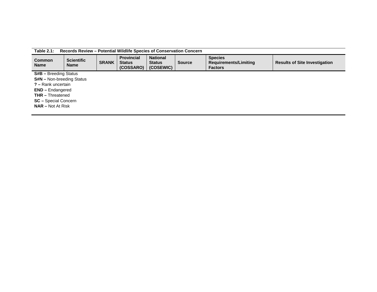| Table 2.1:<br>Records Review – Potential Wildlife Species of Conservation Concern |                              |              |                                                 |                                               |               |                                                           |                                      |  |  |
|-----------------------------------------------------------------------------------|------------------------------|--------------|-------------------------------------------------|-----------------------------------------------|---------------|-----------------------------------------------------------|--------------------------------------|--|--|
| <b>Common</b><br>Name                                                             | <b>Scientific</b><br>Name    | <b>SRANK</b> | <b>Provincial</b><br><b>Status</b><br>(COSSARO) | <b>National</b><br><b>Status</b><br>(COSEWIC) | <b>Source</b> | <b>Species</b><br>Requirements/Limiting<br><b>Factors</b> | <b>Results of Site Investigation</b> |  |  |
|                                                                                   | <b>S#B</b> – Breeding Status |              |                                                 |                                               |               |                                                           |                                      |  |  |
| <b>S#N</b> – Non-breeding Status                                                  |                              |              |                                                 |                                               |               |                                                           |                                      |  |  |
| ? - Rank uncertain                                                                |                              |              |                                                 |                                               |               |                                                           |                                      |  |  |
| <b>END</b> – Endangered                                                           |                              |              |                                                 |                                               |               |                                                           |                                      |  |  |
|                                                                                   | <b>THR</b> - Threatened      |              |                                                 |                                               |               |                                                           |                                      |  |  |
|                                                                                   | <b>SC</b> – Special Concern  |              |                                                 |                                               |               |                                                           |                                      |  |  |
| <b>NAR</b> – Not At Risk                                                          |                              |              |                                                 |                                               |               |                                                           |                                      |  |  |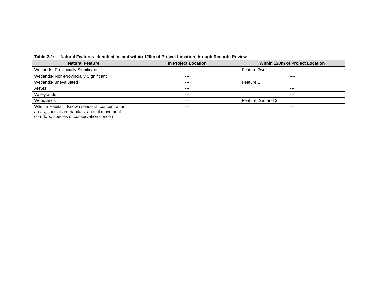| Natural Features Identified in, and within 120m of Project Location through Records Review<br><b>Table 2.2:</b>                             |                     |                                 |  |  |  |  |  |  |  |
|---------------------------------------------------------------------------------------------------------------------------------------------|---------------------|---------------------------------|--|--|--|--|--|--|--|
| <b>Natural Feature</b>                                                                                                                      | In Project Location | Within 120m of Project Location |  |  |  |  |  |  |  |
| <b>Wetlands- Provincially Significant</b>                                                                                                   | $---$               | Feature 2we                     |  |  |  |  |  |  |  |
| Wetlands- Non-Provincially Significant                                                                                                      | $--$                | $- - - -$                       |  |  |  |  |  |  |  |
| Wetlands- unevaluated                                                                                                                       | $---$               | Feature 1                       |  |  |  |  |  |  |  |
| ANSIs                                                                                                                                       | $---$               | ---                             |  |  |  |  |  |  |  |
| Valleylands                                                                                                                                 | $---$               | $---$                           |  |  |  |  |  |  |  |
| Woodlands                                                                                                                                   | $---$               | Feature 2wo and 3               |  |  |  |  |  |  |  |
| Wildlife Habitat-Known seasonal concentration<br>areas, specialized habitats, animal movement<br>corridors, species of conservation concern | ---                 | ---                             |  |  |  |  |  |  |  |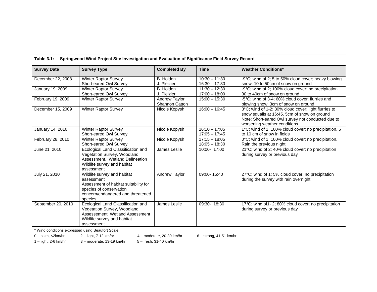| <b>Survey Date</b>                                | <b>Survey Type</b>                    | <b>Completed By</b>       | <b>Time</b>               | <b>Weather Conditions*</b>                            |
|---------------------------------------------------|---------------------------------------|---------------------------|---------------------------|-------------------------------------------------------|
| December 22, 2008                                 | <b>Winter Raptor Survey</b>           | B. Holden                 | $10:30 - 11:30$           | -9°C; wind of 2; 5 to 50% cloud cover; heavy blowing  |
|                                                   | Short-eared Owl Survey                | J. Pleizier               | $16:30 - 17:30$           | snow. 10 to 50cm of snow on ground                    |
| January 19, 2009                                  | Winter Raptor Survey                  | B. Holden                 | $11:30 - 12:30$           | -9°C; wind of 2; 100% cloud cover; no precipitation.  |
|                                                   | Short-eared Owl Survey                | J. Pleizier               | $17:00 - 18:00$           | 30 to 40cm of snow on ground                          |
| February 19, 2009                                 | <b>Winter Raptor Survey</b>           | Andrew Taylor             | $15:00 - 15:30$           | -5°C; wind of 3-4; 60% cloud cover; flurries and      |
|                                                   |                                       | <b>Shannon Catton</b>     |                           | blowing snow. 3cm of snow on ground                   |
| December 15, 2009                                 | Winter Raptor Survey                  | Nicole Kopysh             | $16:00 - 16:45$           | 3°C; wind of 1-2; 80% cloud cover; light flurries to  |
|                                                   |                                       |                           |                           | snow squalls at 16:45. 5cm of snow on ground          |
|                                                   |                                       |                           |                           | Note: Short-eared Owl survey not conducted due to     |
|                                                   |                                       |                           |                           | worsening weather conditions.                         |
| January 14, 2010                                  | Winter Raptor Survey                  | Nicole Kopysh             | $16:10 - 17:05$           | 1°C; wind of 2; 100% cloud cover; no precipitation. 5 |
|                                                   | Short-eared Owl Survey                |                           | $17:05 - 17:45$           | to 10 cm of snow in fields                            |
| February 28, 2010                                 | <b>Winter Raptor Survey</b>           | Nicole Kopysh             | $17:15 - 18:05$           | 0°C; wind of 1; 100% cloud cover; no precipitation.   |
|                                                   | Short-eared Owl Survey                |                           | $18:05 - 18:30$           | Rain the previous night.                              |
| June 21, 2010                                     | Ecological Land Classification and    | James Leslie              | 10:00- 17:00              | 21°C; wind of 2; 40% cloud cover; no precipitation    |
|                                                   | Vegetation Survey, Woodland           |                           |                           | during survey or previous day                         |
|                                                   | Assessment, Wetland Delineation       |                           |                           |                                                       |
|                                                   | Wildlife survey and habitat           |                           |                           |                                                       |
|                                                   | assessment                            |                           |                           |                                                       |
| July 21, 2010                                     | Wildlife survey and habitat           | Andrew Taylor             | 09:00-15:40               | 27°C; wind of 1; 5% cloud cover; no precipitation     |
|                                                   | assessment                            |                           |                           | during the survey with rain overnight                 |
|                                                   | Assessment of habitat suitability for |                           |                           |                                                       |
|                                                   | species of conservation               |                           |                           |                                                       |
|                                                   | concern/endangered and threatened     |                           |                           |                                                       |
|                                                   | species                               |                           |                           |                                                       |
| September 20, 2010                                | Ecological Land Classification and    | James Leslie              | 09:30- 18:30              | 17°C; wind of1-2; 80% cloud cover; no precipitation   |
|                                                   | Vegetation Survey, Woodland           |                           |                           | during survey or previous day                         |
|                                                   | Assessement, Wetland Assessment       |                           |                           |                                                       |
|                                                   | Wildlife survey and habitat           |                           |                           |                                                       |
|                                                   | assessment                            |                           |                           |                                                       |
| * Wind conditions expressed using Beaufort Scale: |                                       |                           |                           |                                                       |
| $0 - \text{calm}, \langle 2 \text{km/hr} \rangle$ | $2 -$ light, 7-12 km/hr               | 4 - moderate, 20-30 km/hr | $6 -$ strong, 41-51 km/hr |                                                       |
| $1 -$ light, 2-6 km/hr                            | 3-moderate, 13-19 km/hr               | 5 - fresh, 31-40 km/hr    |                           |                                                       |

**Table 3.1: Springwood Wind Project Site Investigation and Evaluation of Significance Field Survey Record**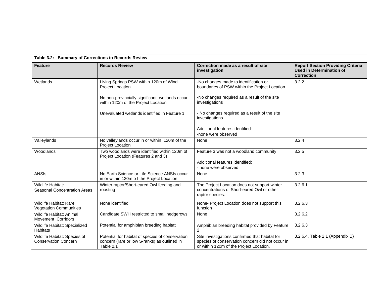|                                                             | Table 3.2: Summary of Corrections to Records Review                                                           |                                                                                                                                               |                                                                                                  |  |  |  |  |  |  |
|-------------------------------------------------------------|---------------------------------------------------------------------------------------------------------------|-----------------------------------------------------------------------------------------------------------------------------------------------|--------------------------------------------------------------------------------------------------|--|--|--|--|--|--|
| <b>Feature</b>                                              | <b>Records Review</b>                                                                                         | Correction made as a result of site<br>investigation                                                                                          | <b>Report Section Providing Criteria</b><br><b>Used in Determination of</b><br><b>Correction</b> |  |  |  |  |  |  |
| Wetlands                                                    | Living Springs PSW within 120m of Wind<br>Project Location                                                    | -No changes made to identification or<br>boundaries of PSW within the Project Location                                                        | 3.2.2                                                                                            |  |  |  |  |  |  |
|                                                             | No non-provincially significant wetlands occur<br>within 120m of the Project Location                         | -No changes required as a result of the site<br>investigations                                                                                |                                                                                                  |  |  |  |  |  |  |
|                                                             | Unevaluated wetlands identified in Feature 1                                                                  | - No changes required as a result of the site<br>investigations                                                                               |                                                                                                  |  |  |  |  |  |  |
|                                                             |                                                                                                               | Additional features identified:                                                                                                               |                                                                                                  |  |  |  |  |  |  |
|                                                             |                                                                                                               | -none were observed                                                                                                                           |                                                                                                  |  |  |  |  |  |  |
| Valleylands                                                 | No valleylands occur in or within 120m of the<br><b>Project Location</b>                                      | None                                                                                                                                          | 3.2.4                                                                                            |  |  |  |  |  |  |
| Woodlands                                                   | Two woodlands were identified within 120m of<br>Project Location (Features 2 and 3)                           | Feature 3 was not a woodland community                                                                                                        | 3.2.5                                                                                            |  |  |  |  |  |  |
|                                                             |                                                                                                               | Additional features identified:                                                                                                               |                                                                                                  |  |  |  |  |  |  |
|                                                             |                                                                                                               | - none were observed                                                                                                                          |                                                                                                  |  |  |  |  |  |  |
| <b>ANSIs</b>                                                | No Earth Science or Life Science ANSIs occur<br>in or within 120m o f the Project Location.                   | None                                                                                                                                          | 3.2.3                                                                                            |  |  |  |  |  |  |
| Wildlife Habitat:<br><b>Seasonal Concentration Areas</b>    | Winter raptor/Short-eared Owl feeding and<br>roosting                                                         | The Project Location does not support winter<br>concentrations of Short-eared Owl or other<br>raptor species.                                 | 3.2.6.1                                                                                          |  |  |  |  |  |  |
| Wildlife Habitat: Rare<br><b>Vegetation Communities</b>     | None identified                                                                                               | None- Project Location does not support this<br>function                                                                                      | 3.2.6.3                                                                                          |  |  |  |  |  |  |
| Wildlife Habitat: Animal<br><b>Movement Corridors</b>       | Candidate SWH restricted to small hedgerows                                                                   | None                                                                                                                                          | 3.2.6.2                                                                                          |  |  |  |  |  |  |
| Wildlife Habitat: Specialized<br><b>Habitats</b>            | Potential for amphibian breeding habitat                                                                      | Amphibian breeding habitat provided by Feature<br>2                                                                                           | 3.2.6.3                                                                                          |  |  |  |  |  |  |
| Wildlife Habitat: Species of<br><b>Conservation Concern</b> | Potential for habitat of species of conservation<br>concern (rare or low S-ranks) as outlined in<br>Table 2.1 | Site investigations confirmed that habitat for<br>species of conservation concern did not occur in<br>or within 120m of the Project Location. | 3.2.6.4, Table 2.1 (Appendix B)                                                                  |  |  |  |  |  |  |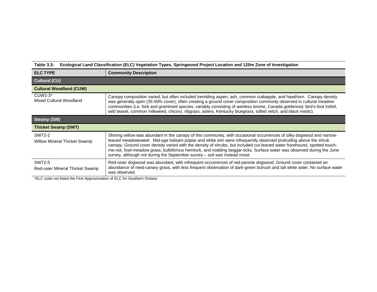## **Table 3.3: Ecological Land Classification (ELC) Vegetation Types, Springwood Project Location and 120m Zone of Investigation**

| <b>ELC TYPE</b>                                      | <b>Community Description</b>                                                                                                                                                                                                                                                                                                                                                                                                                                                                                                                                            |
|------------------------------------------------------|-------------------------------------------------------------------------------------------------------------------------------------------------------------------------------------------------------------------------------------------------------------------------------------------------------------------------------------------------------------------------------------------------------------------------------------------------------------------------------------------------------------------------------------------------------------------------|
| <b>Cultural (CU)</b>                                 |                                                                                                                                                                                                                                                                                                                                                                                                                                                                                                                                                                         |
| <b>Cultural Woodland (CUW)</b>                       |                                                                                                                                                                                                                                                                                                                                                                                                                                                                                                                                                                         |
| $CUW1-3*$<br>Mixed Cultural Woodland                 | Canopy composition varied, but often included trembling aspen, ash, common crabapple, and hawthorn. Canopy density<br>was generally open (35-50% cover), often creating a ground cover composition commonly observed in cultural meadow<br>communities (i.e. forb and graminoid species, variably consisting of awnless brome, Canada goldenrod, bird's-foot trefoil,<br>wild teasel, common milkweed, chicory, ribgrass, asters, Kentucky bluegrass, tufted vetch, and black medic).                                                                                   |
| Swamp (SW)                                           |                                                                                                                                                                                                                                                                                                                                                                                                                                                                                                                                                                         |
|                                                      |                                                                                                                                                                                                                                                                                                                                                                                                                                                                                                                                                                         |
| <b>Thicket Swamp (SWT)</b>                           |                                                                                                                                                                                                                                                                                                                                                                                                                                                                                                                                                                         |
| <b>SWT2-2</b><br><b>Willow Mineral Thicket Swamp</b> | Shining willow was abundant in the canopy of this community, with occasional occurrences of silky dogwood and narrow-<br>leaved meadowsweet. Mid-age balsam poplar and white elm were infrequently observed protruding above the shrub<br>canopy. Ground cover density varied with the density of shrubs, but included cut-leaved water horehound, spotted-touch-<br>me-not, fowl-meadow grass, bulbiferous hemlock, and nodding beggar-ticks. Surface water was observed during the June<br>survey, although not during the September survey - soil was instead moist. |

\*ELC code not listed the First Approximation of ELC for Southern Ontario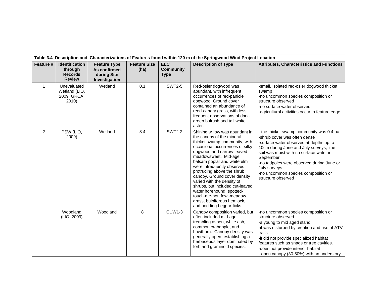|                | Table 3.4 Description and Characterizations of Features found within 120 m of the Springwood Wind Project Location |                                                                     |                             |                                               |                                                                                                                                                                                                                                                                                                                                                                                                                                                                                                        |                                                                                                                                                                                                                                                                                                                                                 |  |  |  |  |
|----------------|--------------------------------------------------------------------------------------------------------------------|---------------------------------------------------------------------|-----------------------------|-----------------------------------------------|--------------------------------------------------------------------------------------------------------------------------------------------------------------------------------------------------------------------------------------------------------------------------------------------------------------------------------------------------------------------------------------------------------------------------------------------------------------------------------------------------------|-------------------------------------------------------------------------------------------------------------------------------------------------------------------------------------------------------------------------------------------------------------------------------------------------------------------------------------------------|--|--|--|--|
| Feature #      | <b>Identification</b><br>through<br><b>Records</b><br><b>Review</b>                                                | <b>Feature Type</b><br>As confirmed<br>during Site<br>Investigation | <b>Feature Size</b><br>(ha) | <b>ELC</b><br><b>Community</b><br><b>Type</b> | <b>Description of Type</b>                                                                                                                                                                                                                                                                                                                                                                                                                                                                             | <b>Attributes, Characteristics and Functions</b>                                                                                                                                                                                                                                                                                                |  |  |  |  |
| $\mathbf{1}$   | Unevaluated<br>Wetland (LIO,<br>2009; GRCA,<br>2010)                                                               | Wetland                                                             | 0.1                         | <b>SWT2-5</b>                                 | Red-osier dogwood was<br>abundant, with infrequent<br>occurrences of red-panicle<br>dogwood. Ground cover<br>contained an abundance of<br>reed-canary grass, with less<br>frequent observations of dark-<br>green bulrush and tall white<br>aster.                                                                                                                                                                                                                                                     | -small, isolated red-osier dogwood thicket<br>swamp<br>-no uncommon species composition or<br>structure observed<br>-no surface water observed<br>-agricultural activities occur to feature edge                                                                                                                                                |  |  |  |  |
| $\overline{2}$ | PSW (LIO,<br>2009)                                                                                                 | Wetland                                                             | 8.4                         | <b>SWT2-2</b>                                 | Shining willow was abundant in<br>the canopy of the mineral<br>thicket swamp community, with<br>occasional occurrences of silky<br>dogwood and narrow-leaved<br>meadowsweet. Mid-age<br>balsam poplar and white elm<br>were infrequently observed<br>protruding above the shrub<br>canopy. Ground cover density<br>varied with the density of<br>shrubs, but included cut-leaved<br>water horehound, spotted-<br>touch-me-not, fowl-meadow<br>grass, bulbiferous hemlock,<br>and nodding beggar-ticks. | - the thicket swamp community was 0.4 ha<br>-shrub cover was often dense<br>-surface water observed at depths up to<br>10cm during June and July surveys; the<br>soil was moist with no surface water in<br>September<br>-no tadpoles were observed during June or<br>July surveys<br>-no uncommon species composition or<br>structure observed |  |  |  |  |
|                | Woodland<br>(LIO, 2009)                                                                                            | Woodland                                                            | 8                           | <b>CUW1-3</b>                                 | Canopy composition varied, but<br>often included mid-age<br>trembling aspen, white ash,<br>common crabapple, and<br>hawthorn. Canopy density was<br>generally open, establishing a<br>herbaceous layer dominated by<br>forb and graminoid species.                                                                                                                                                                                                                                                     | -no uncommon species composition or<br>structure observed<br>-a young to mid aged stand<br>-it was disturbed by creation and use of ATV<br>trails<br>-it did not provide specialized habitat<br>features such as snags or tree cavities.<br>-does not provide interior habitat<br>- open canopy (30-50%) with an understory                     |  |  |  |  |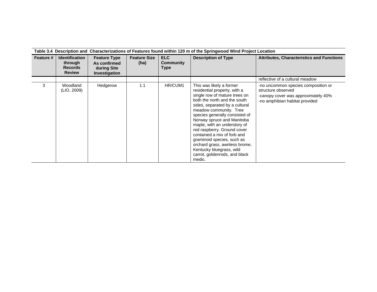|           | Table 3.4 Description and Characterizations of Features found within 120 m of the Springwood Wind Project Location |                                                                     |                             |                                 |                                                                                                                                                                                                                                                                                                                                                                                                                                                                                           |                                                                                                                                    |  |  |  |
|-----------|--------------------------------------------------------------------------------------------------------------------|---------------------------------------------------------------------|-----------------------------|---------------------------------|-------------------------------------------------------------------------------------------------------------------------------------------------------------------------------------------------------------------------------------------------------------------------------------------------------------------------------------------------------------------------------------------------------------------------------------------------------------------------------------------|------------------------------------------------------------------------------------------------------------------------------------|--|--|--|
| Feature # | <b>Identification</b><br>through<br><b>Records</b><br><b>Review</b>                                                | <b>Feature Type</b><br>As confirmed<br>during Site<br>Investigation | <b>Feature Size</b><br>(ha) | ELC<br>Community<br><b>Type</b> | <b>Description of Type</b>                                                                                                                                                                                                                                                                                                                                                                                                                                                                | <b>Attributes, Characteristics and Functions</b>                                                                                   |  |  |  |
|           |                                                                                                                    |                                                                     |                             |                                 |                                                                                                                                                                                                                                                                                                                                                                                                                                                                                           | reflective of a cultural meadow                                                                                                    |  |  |  |
| 3         | Woodland<br>(LIO, 2009)                                                                                            | Hedgerow                                                            | 1.1                         | HR/CUM1                         | This was likely a former<br>residential property, with a<br>single row of mature trees on<br>both the north and the south<br>sides, separated by a cultural<br>meadow community. Tree<br>species generally consisted of<br>Norway spruce and Manitoba<br>maple, with an understory of<br>red raspberry. Ground cover<br>contained a mix of forb and<br>graminoid species, such as<br>orchard grass, awnless brome,<br>Kentucky bluegrass, wild<br>carrot, goldenrods, and black<br>medic. | -no uncommon species composition or<br>structure observed<br>-canopy cover was approximately 40%<br>-no amphibian habitat provided |  |  |  |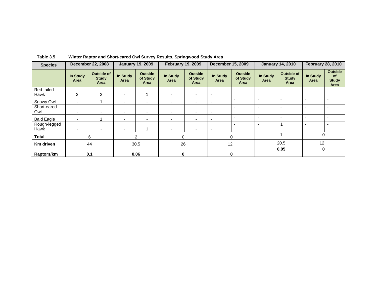| <b>Species</b>       | <b>December 22, 2008</b>     |                                                  | <b>January 19, 2009</b>  |                                    | <b>February 19, 2009</b> |                                    | <b>December 15, 2009</b> |                                    | <b>January 14, 2010</b> |                                           | <b>February 28, 2010</b> |                                        |
|----------------------|------------------------------|--------------------------------------------------|--------------------------|------------------------------------|--------------------------|------------------------------------|--------------------------|------------------------------------|-------------------------|-------------------------------------------|--------------------------|----------------------------------------|
|                      | In Study<br>Area             | <b>Outside of</b><br><b>Study</b><br><b>Area</b> | In Study<br>Area         | <b>Outside</b><br>of Study<br>Area | In Study<br>Area         | <b>Outside</b><br>of Study<br>Area | In Study<br>Area         | <b>Outside</b><br>of Study<br>Area | In Study<br>Area        | <b>Outside of</b><br><b>Study</b><br>Area | In Study<br>Area         | <b>Outside</b><br><b>Study</b><br>Area |
| Red-tailed<br>Hawk   | $\overline{2}$               | $\overline{2}$                                   | ۰                        |                                    |                          | $\overline{\phantom{a}}$           |                          | $\overline{\phantom{a}}$           |                         |                                           | $\overline{\phantom{a}}$ |                                        |
| Snowy Owl            | $\overline{\phantom{0}}$     |                                                  | $\overline{\phantom{0}}$ | ٠                                  | $\blacksquare$           | $\overline{a}$                     |                          | $\overline{\phantom{0}}$           |                         |                                           |                          |                                        |
| Short-eared<br>Owl   | $\overline{\phantom{a}}$     | $\overline{\phantom{0}}$                         | $\overline{\phantom{0}}$ | $\blacksquare$                     | ۰                        | $\overline{a}$                     |                          | $\overline{\phantom{a}}$           |                         |                                           | $\overline{\phantom{a}}$ |                                        |
| <b>Bald Eagle</b>    | $\overline{\phantom{0}}$     |                                                  | $\overline{\phantom{0}}$ | $\blacksquare$                     |                          | $\overline{\phantom{a}}$           |                          | $\overline{\phantom{0}}$           |                         |                                           |                          |                                        |
| Rough-legged<br>Hawk |                              |                                                  | $\overline{\phantom{0}}$ |                                    |                          |                                    |                          | $\overline{\phantom{a}}$           |                         |                                           | $\overline{\phantom{a}}$ |                                        |
| <b>Total</b>         |                              | 6                                                | $\overline{2}$           |                                    | $\Omega$                 |                                    | $\Omega$                 |                                    |                         |                                           |                          | $\mathbf 0$                            |
| Km driven            |                              | 44                                               |                          | 30.5                               | 26                       |                                    | 12                       |                                    | 20.5                    |                                           | 12                       |                                        |
| Raptors/km           | 0.1<br>0.06<br>$\bf{0}$<br>0 |                                                  |                          |                                    | 0.05                     |                                    | $\mathbf 0$              |                                    |                         |                                           |                          |                                        |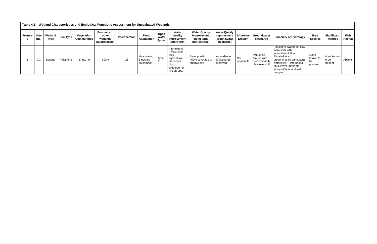| Table 4.1: Wetland Characteristics and Ecological Functions Assessment for Unevaluated Wetlands |              |                        |            |                                  |                                                           |               |                                      |                               |                                                                                                            |                                                                     |                                                                   |                                    |                                                               |                                                                                                                                                                                                              |                                   |                                |                 |
|-------------------------------------------------------------------------------------------------|--------------|------------------------|------------|----------------------------------|-----------------------------------------------------------|---------------|--------------------------------------|-------------------------------|------------------------------------------------------------------------------------------------------------|---------------------------------------------------------------------|-------------------------------------------------------------------|------------------------------------|---------------------------------------------------------------|--------------------------------------------------------------------------------------------------------------------------------------------------------------------------------------------------------------|-----------------------------------|--------------------------------|-----------------|
| Feature                                                                                         | Size<br>(ha) | Wetland<br><b>Type</b> | Site Type  | Vegetation<br><b>Communities</b> | <b>Proximity to</b><br>other<br>wetlands<br>(approximate) | Interspersion | <b>Flood</b><br><b>Attenuation</b>   | Open<br>Water<br><b>Types</b> | Water<br>Quality<br>Improvement<br>(short term)                                                            | <b>Water Quality</b><br>Improvement<br>(long term<br>nutrient trap) | <b>Water Quality</b><br>Improvement<br>(groundwater<br>discharge) | <b>Shoreline</b><br><b>Erosion</b> | Groundwater<br>Recharge                                       | <b>Summary of Hydrology</b>                                                                                                                                                                                  | Rare<br><b>Species</b>            | Significant<br><b>Features</b> | Fish<br>Habitat |
|                                                                                                 | 0.1          | Swamp                  | Palustrine | ts, gc, ne                       | 300m                                                      | 25            | Headwater;<br>1 hectare<br>catchment | Type                          | Intermittent<br>inflow; over<br>50%<br>agricultural<br>landscape;<br>high<br>proportion of<br>live shrubs. | Swamp with<br><50% coverage of<br>organic soil                      | No evidence<br>of discharge<br>observed                           | Not<br>applicable                  | Palustrine<br>feature with<br>predominantly<br>clay loam soil | Palustrine swamp on clay<br>loam soils with<br>intermittent inflow.<br>Situated in a<br>predominantly agricultural<br>watershed. Data based<br>on surveys, air photo<br>interpretation, and soil<br>mapping* | None<br>known to<br>be<br>present | None known<br>to be<br>present | Absent          |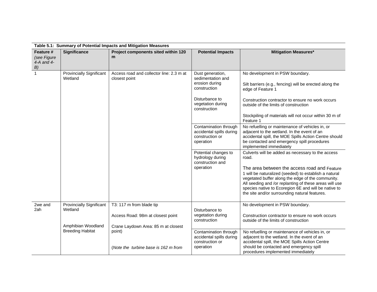| Table 5.1: Summary of Potential Impacts and Mitigation Measures |                                               |                                                               |                                                                                           |                                                                                                                                                                                                                                                                               |  |  |  |  |  |  |  |
|-----------------------------------------------------------------|-----------------------------------------------|---------------------------------------------------------------|-------------------------------------------------------------------------------------------|-------------------------------------------------------------------------------------------------------------------------------------------------------------------------------------------------------------------------------------------------------------------------------|--|--|--|--|--|--|--|
| Feature #<br>(see Figure<br>$4-A$ and $4-$<br>B)                | <b>Significance</b>                           | Project components sited within 120<br>m                      | <b>Potential Impacts</b>                                                                  | <b>Mitigation Measures*</b>                                                                                                                                                                                                                                                   |  |  |  |  |  |  |  |
| $\mathbf{1}$                                                    | <b>Provincially Significant</b><br>Wetland    | Access road and collector line: 2.3 m at<br>closest point     | Dust generation,<br>sedimentation and<br>erosion during<br>construction<br>Disturbance to | No development in PSW boundary.<br>Silt barriers (e.g., fencing) will be erected along the<br>edge of Feature 1<br>Construction contractor to ensure no work occurs                                                                                                           |  |  |  |  |  |  |  |
|                                                                 |                                               |                                                               | vegetation during<br>construction                                                         | outside of the limits of construction<br>Stockpiling of materials will not occur within 30 m of<br>Feature 1                                                                                                                                                                  |  |  |  |  |  |  |  |
|                                                                 |                                               |                                                               | Contamination through<br>accidental spills during<br>construction or<br>operation         | No refuelling or maintenance of vehicles in, or<br>adjacent to the wetland. In the event of an<br>accidental spill, the MOE Spills Action Centre should<br>be contacted and emergency spill procedures<br>implemented immediately                                             |  |  |  |  |  |  |  |
|                                                                 |                                               |                                                               | Potential changes to<br>hydrology during<br>construction and<br>operation                 | Culverts will be added as necessary to the access<br>road.<br>The area between the access road and Feature                                                                                                                                                                    |  |  |  |  |  |  |  |
|                                                                 |                                               |                                                               |                                                                                           | 1 will be naturalized (seeded) to establish a natural<br>vegetated buffer along the edge of the community.<br>All seeding and /or replanting of these areas will use<br>species native to Ecoregion 6E and will be native to<br>the site and/or surrounding natural features. |  |  |  |  |  |  |  |
| 2we and<br>2ah                                                  | <b>Provincially Significant</b><br>Wetland    | T3: 117 m from blade tip<br>Access Road: 98m at closest point | Disturbance to<br>vegetation during<br>construction                                       | No development in PSW boundary.<br>Construction contractor to ensure no work occurs<br>outside of the limits of construction                                                                                                                                                  |  |  |  |  |  |  |  |
|                                                                 | Amphibian Woodland<br><b>Breeding Habitat</b> | Crane Laydown Area: 85 m at closest<br>point)                 | Contamination through                                                                     | No refuelling or maintenance of vehicles in, or                                                                                                                                                                                                                               |  |  |  |  |  |  |  |
|                                                                 |                                               | (Note the turbine base is 162 m from                          | accidental spills during<br>construction or<br>operation                                  | adjacent to the wetland. In the event of an<br>accidental spill, the MOE Spills Action Centre<br>should be contacted and emergency spill<br>procedures implemented immediately                                                                                                |  |  |  |  |  |  |  |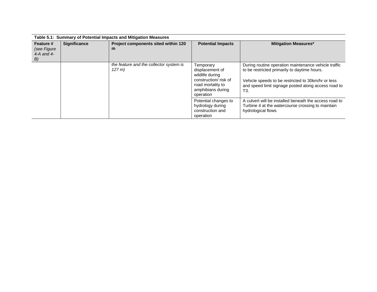| Table 5.1: Summary of Potential Impacts and Mitigation Measures |                                                                 |                                                   |                                                                                                                                |                                                                                                                                                                                                                                       |  |  |  |  |  |  |
|-----------------------------------------------------------------|-----------------------------------------------------------------|---------------------------------------------------|--------------------------------------------------------------------------------------------------------------------------------|---------------------------------------------------------------------------------------------------------------------------------------------------------------------------------------------------------------------------------------|--|--|--|--|--|--|
| Feature #<br>(see Figure<br>$4-A$ and $4-$<br>B)                | <b>Significance</b><br>Project components sited within 120<br>m |                                                   | <b>Potential Impacts</b>                                                                                                       | <b>Mitigation Measures*</b>                                                                                                                                                                                                           |  |  |  |  |  |  |
|                                                                 |                                                                 | the feature and the collector system is<br>127 m) | Temporary<br>displacement of<br>wildlife during<br>construction/risk of<br>road mortality to<br>amphibians during<br>operation | During routine operation maintenance vehicle traffic<br>to be restricted primarily to daytime hours.<br>Vehicle speeds to be restricted to 30km/hr or less<br>and speed limit signage posted along access road to<br>T <sub>3</sub> . |  |  |  |  |  |  |
|                                                                 |                                                                 |                                                   | Potential changes to<br>hydrology during<br>construction and<br>operation                                                      | A culvert will be installed beneath the access road to<br>Turbine 4 at the watercourse crossing to maintain<br>hydrological flows                                                                                                     |  |  |  |  |  |  |